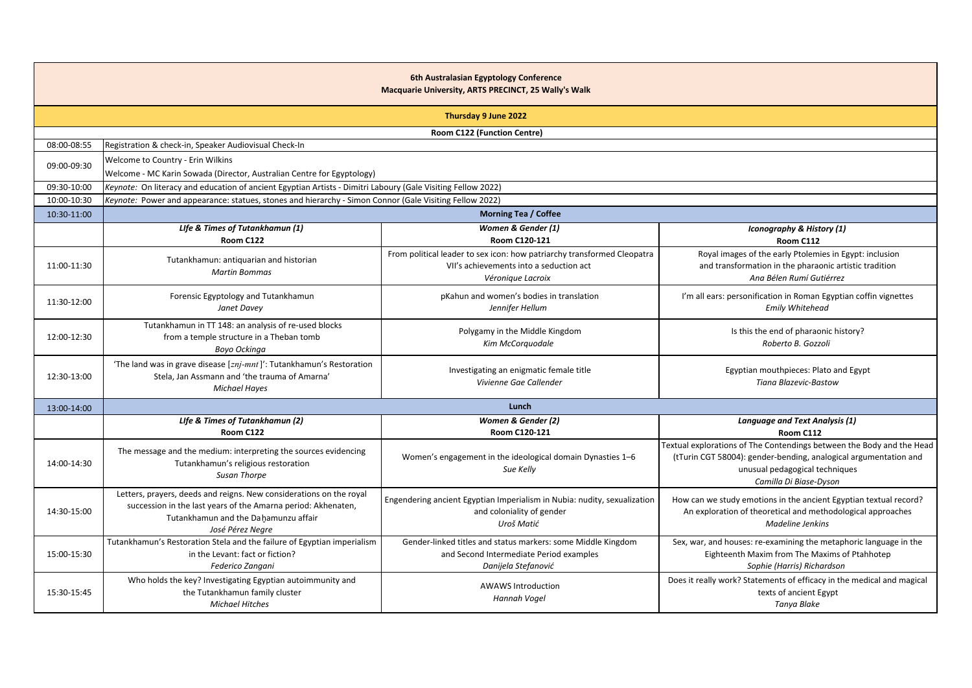|             |                                                                                                                                                                                                  | 6th Australasian Egyptology Conference<br>Macquarie University, ARTS PRECINCT, 25 Wally's Walk                                          |                                                                                                                                                                                                       |
|-------------|--------------------------------------------------------------------------------------------------------------------------------------------------------------------------------------------------|-----------------------------------------------------------------------------------------------------------------------------------------|-------------------------------------------------------------------------------------------------------------------------------------------------------------------------------------------------------|
|             |                                                                                                                                                                                                  | Thursday 9 June 2022                                                                                                                    |                                                                                                                                                                                                       |
|             |                                                                                                                                                                                                  | Room C122 (Function Centre)                                                                                                             |                                                                                                                                                                                                       |
| 08:00-08:55 | Registration & check-in, Speaker Audiovisual Check-In                                                                                                                                            |                                                                                                                                         |                                                                                                                                                                                                       |
| 09:00-09:30 | Welcome to Country - Erin Wilkins<br>Welcome - MC Karin Sowada (Director, Australian Centre for Egyptology)                                                                                      |                                                                                                                                         |                                                                                                                                                                                                       |
| 09:30-10:00 | Keynote: On literacy and education of ancient Egyptian Artists - Dimitri Laboury (Gale Visiting Fellow 2022)                                                                                     |                                                                                                                                         |                                                                                                                                                                                                       |
| 10:00-10:30 | Keynote: Power and appearance: statues, stones and hierarchy - Simon Connor (Gale Visiting Fellow 2022)                                                                                          |                                                                                                                                         |                                                                                                                                                                                                       |
| 10:30-11:00 |                                                                                                                                                                                                  | <b>Morning Tea / Coffee</b>                                                                                                             |                                                                                                                                                                                                       |
|             | Life & Times of Tutankhamun (1)<br>Room C122                                                                                                                                                     | Women & Gender (1)<br>Room C120-121                                                                                                     | Iconography & History (1)<br>Room C112                                                                                                                                                                |
| 11:00-11:30 | Tutankhamun: antiquarian and historian<br><b>Martin Bommas</b>                                                                                                                                   | From political leader to sex icon: how patriarchy transformed Cleopatra<br>VII's achievements into a seduction act<br>Véronique Lacroix | Royal images of the early Ptolemies in Egypt: inclusion<br>and transformation in the pharaonic artistic tradition<br>Ana Bélen Rumí Gutiérrez                                                         |
| 11:30-12:00 | Forensic Egyptology and Tutankhamun<br>Janet Davey                                                                                                                                               | pKahun and women's bodies in translation<br>Jennifer Hellum                                                                             | I'm all ears: personification in Roman Egyptian coffin vignettes<br><b>Emily Whitehead</b>                                                                                                            |
| 12:00-12:30 | Tutankhamun in TT 148: an analysis of re-used blocks<br>from a temple structure in a Theban tomb<br>Boyo Ockinga                                                                                 | Polygamy in the Middle Kingdom<br>Kim McCorquodale                                                                                      | Is this the end of pharaonic history?<br>Roberto B. Gozzoli                                                                                                                                           |
| 12:30-13:00 | 'The land was in grave disease [znj-mnt]': Tutankhamun's Restoration<br>Stela, Jan Assmann and 'the trauma of Amarna'<br><b>Michael Hayes</b>                                                    | Investigating an enigmatic female title<br>Vivienne Gae Callender                                                                       | Egyptian mouthpieces: Plato and Egypt<br><b>Tiana Blazevic-Bastow</b>                                                                                                                                 |
| 13:00-14:00 |                                                                                                                                                                                                  | Lunch                                                                                                                                   |                                                                                                                                                                                                       |
|             | Life & Times of Tutankhamun (2)                                                                                                                                                                  | Women & Gender (2)                                                                                                                      | Language and Text Analysis (1)                                                                                                                                                                        |
|             | Room C122                                                                                                                                                                                        | Room C120-121                                                                                                                           | Room C112                                                                                                                                                                                             |
| 14:00-14:30 | The message and the medium: interpreting the sources evidencing<br>Tutankhamun's religious restoration<br>Susan Thorpe                                                                           | Women's engagement in the ideological domain Dynasties 1-6<br>Sue Kelly                                                                 | Textual explorations of The Contendings between the Body and the Head<br>(tTurin CGT 58004): gender-bending, analogical argumentation and<br>unusual pedagogical techniques<br>Camilla Di Biase-Dyson |
| 14:30-15:00 | Letters, prayers, deeds and reigns. New considerations on the royal<br>succession in the last years of the Amarna period: Akhenaten,<br>Tutankhamun and the Dahamunzu affair<br>José Pérez Negre | Engendering ancient Egyptian Imperialism in Nubia: nudity, sexualization<br>and coloniality of gender<br>Uroš Matić                     | How can we study emotions in the ancient Egyptian textual record?<br>An exploration of theoretical and methodological approaches<br><b>Madeline Jenkins</b>                                           |
| 15:00-15:30 | Tutankhamun's Restoration Stela and the failure of Egyptian imperialism<br>in the Levant: fact or fiction?<br>Federico Zangani                                                                   | Gender-linked titles and status markers: some Middle Kingdom<br>and Second Intermediate Period examples<br>Danijela Stefanović          | Sex, war, and houses: re-examining the metaphoric language in the<br>Eighteenth Maxim from The Maxims of Ptahhotep<br>Sophie (Harris) Richardson                                                      |
| 15:30-15:45 | Who holds the key? Investigating Egyptian autoimmunity and<br>the Tutankhamun family cluster<br><b>Michael Hitches</b>                                                                           | <b>AWAWS Introduction</b><br>Hannah Vogel                                                                                               | Does it really work? Statements of efficacy in the medical and magical<br>texts of ancient Egypt<br>Tanya Blake                                                                                       |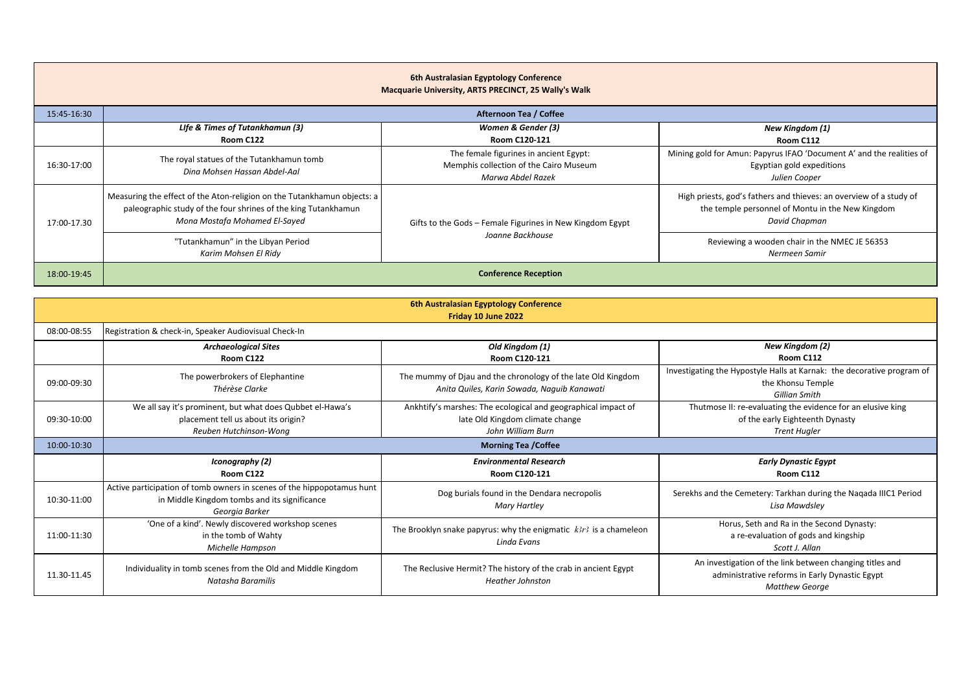|             |                                                                                                                                                                            | 6th Australasian Egyptology Conference<br>Macquarie University, ARTS PRECINCT, 25 Wally's Walk        |                                                                                                                                         |
|-------------|----------------------------------------------------------------------------------------------------------------------------------------------------------------------------|-------------------------------------------------------------------------------------------------------|-----------------------------------------------------------------------------------------------------------------------------------------|
| 15:45-16:30 |                                                                                                                                                                            | Afternoon Tea / Coffee                                                                                |                                                                                                                                         |
|             | Life & Times of Tutankhamun (3)<br>Room C122                                                                                                                               | Women & Gender (3)<br>Room C120-121                                                                   | New Kingdom (1)<br>Room C112                                                                                                            |
| 16:30-17:00 | The royal statues of the Tutankhamun tomb<br>Dina Mohsen Hassan Abdel-Aal                                                                                                  | The female figurines in ancient Egypt:<br>Memphis collection of the Cairo Museum<br>Marwa Abdel Razek | Mining gold for Amun: Papyrus IFAO 'Document A' and the realities of<br>Egyptian gold expeditions<br>Julien Cooper                      |
| 17:00-17.30 | Measuring the effect of the Aton-religion on the Tutankhamun objects: a<br>paleographic study of the four shrines of the king Tutankhamun<br>Mona Mostafa Mohamed El-Sayed | Gifts to the Gods - Female Figurines in New Kingdom Egypt                                             | High priests, god's fathers and thieves: an overview of a study of<br>the temple personnel of Montu in the New Kingdom<br>David Chapman |
|             | "Tutankhamun" in the Libyan Period<br>Karim Mohsen El Ridy                                                                                                                 | Joanne Backhouse                                                                                      | Reviewing a wooden chair in the NMEC JE 56353<br>Nermeen Samir                                                                          |
| 18:00-19:45 |                                                                                                                                                                            | <b>Conference Reception</b>                                                                           |                                                                                                                                         |

|             |                                                                                                                                          | 6th Australasian Egyptology Conference<br>Friday 10 June 2022                                                         |                                                                                                                                     |
|-------------|------------------------------------------------------------------------------------------------------------------------------------------|-----------------------------------------------------------------------------------------------------------------------|-------------------------------------------------------------------------------------------------------------------------------------|
| 08:00-08:55 | Registration & check-in, Speaker Audiovisual Check-In                                                                                    |                                                                                                                       |                                                                                                                                     |
|             | <b>Archaeological Sites</b><br>Room C122                                                                                                 | Old Kingdom (1)<br>Room C120-121                                                                                      | New Kingdom (2)<br>Room C112                                                                                                        |
| 09:00-09:30 | The powerbrokers of Elephantine<br>Thérèse Clarke                                                                                        | The mummy of Djau and the chronology of the late Old Kingdom<br>Anita Quiles, Karin Sowada, Naguib Kanawati           | Investigating the Hypostyle Halls at Karnak: the decorative program of<br>the Khonsu Temple<br>Gillian Smith                        |
| 09:30-10:00 | We all say it's prominent, but what does Qubbet el-Hawa's<br>placement tell us about its origin?<br>Reuben Hutchinson-Wong               | Ankhtify's marshes: The ecological and geographical impact of<br>late Old Kingdom climate change<br>John William Burn | Thutmose II: re-evaluating the evidence for an elusive king<br>of the early Eighteenth Dynasty<br><b>Trent Hugler</b>               |
| 10:00-10:30 |                                                                                                                                          | <b>Morning Tea /Coffee</b>                                                                                            |                                                                                                                                     |
|             | Iconography (2)<br>Room C122                                                                                                             | <b>Environmental Research</b><br>Room C120-121                                                                        | <b>Early Dynastic Egypt</b><br>Room C112                                                                                            |
| 10:30-11:00 | Active participation of tomb owners in scenes of the hippopotamus hunt<br>in Middle Kingdom tombs and its significance<br>Georaia Barker | Dog burials found in the Dendara necropolis<br>Mary Hartley                                                           | Serekhs and the Cemetery: Tarkhan during the Nagada IIIC1 Period<br>Lisa Mawdsley                                                   |
| 11:00-11:30 | 'One of a kind'. Newly discovered workshop scenes<br>in the tomb of Wahty<br>Michelle Hampson                                            | The Brooklyn snake papyrus: why the enigmatic $k3r3$ is a chameleon<br>Linda Evans                                    | Horus, Seth and Ra in the Second Dynasty:<br>a re-evaluation of gods and kingship<br>Scott J. Allan                                 |
| 11.30-11.45 | Individuality in tomb scenes from the Old and Middle Kingdom<br>Natasha Baramilis                                                        | The Reclusive Hermit? The history of the crab in ancient Egypt<br><b>Heather Johnston</b>                             | An investigation of the link between changing titles and<br>administrative reforms in Early Dynastic Egypt<br><b>Matthew George</b> |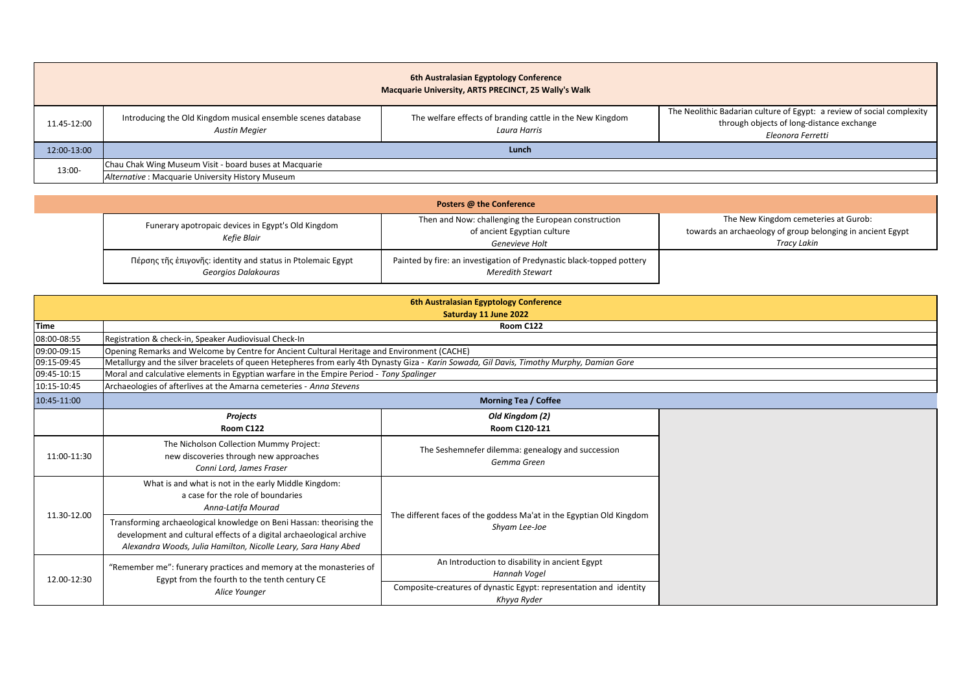|             |                                                                                      | 6th Australasian Egyptology Conference<br>Macquarie University, ARTS PRECINCT, 25 Wally's Walk |                                                                                                                                          |
|-------------|--------------------------------------------------------------------------------------|------------------------------------------------------------------------------------------------|------------------------------------------------------------------------------------------------------------------------------------------|
| 11.45-12:00 | Introducing the Old Kingdom musical ensemble scenes database<br><b>Austin Megier</b> | The welfare effects of branding cattle in the New Kingdom<br>Laura Harris                      | The Neolithic Badarian culture of Egypt: a review of social complexity<br>through objects of long-distance exchange<br>Eleonora Ferretti |
| 12:00-13:00 |                                                                                      | Lunch                                                                                          |                                                                                                                                          |
| 13:00-      | Chau Chak Wing Museum Visit - board buses at Macquarie                               |                                                                                                |                                                                                                                                          |
|             | Alternative: Macquarie University History Museum                                     |                                                                                                |                                                                                                                                          |

|                                                                                    | Posters @ the Conference                                                                             |                                                                                                                          |
|------------------------------------------------------------------------------------|------------------------------------------------------------------------------------------------------|--------------------------------------------------------------------------------------------------------------------------|
| Funerary apotropaic devices in Egypt's Old Kingdom<br>Kefie Blair                  | Then and Now: challenging the European construction<br>of ancient Egyptian culture<br>Genevieve Holt | The New Kingdom cemeteries at Gurob:<br>towards an archaeology of group belonging in ancient Egypt<br><b>Tracy Lakin</b> |
| Πέρσης τῆς ἐπιγονῆς: identity and status in Ptolemaic Egypt<br>Georgios Dalakouras | Painted by fire: an investigation of Predynastic black-topped pottery<br><b>Meredith Stewart</b>     |                                                                                                                          |

|             |                                                                                                                                                                                                                | 6th Australasian Egyptology Conference<br>Saturday 11 June 2022                       |  |
|-------------|----------------------------------------------------------------------------------------------------------------------------------------------------------------------------------------------------------------|---------------------------------------------------------------------------------------|--|
| <b>Time</b> | Room C122                                                                                                                                                                                                      |                                                                                       |  |
| 08:00-08:55 | Registration & check-in, Speaker Audiovisual Check-In                                                                                                                                                          |                                                                                       |  |
| 09:00-09:15 | Opening Remarks and Welcome by Centre for Ancient Cultural Heritage and Environment (CACHE)                                                                                                                    |                                                                                       |  |
| 09:15-09:45 | Metallurgy and the silver bracelets of queen Hetepheres from early 4th Dynasty Giza - Karin Sowada, Gil Davis, Timothy Murphy, Damian Gore                                                                     |                                                                                       |  |
| 09:45-10:15 | Moral and calculative elements in Egyptian warfare in the Empire Period - Tony Spalinger                                                                                                                       |                                                                                       |  |
| 10:15-10:45 | Archaeologies of afterlives at the Amarna cemeteries - Anna Stevens                                                                                                                                            |                                                                                       |  |
| 10:45-11:00 | <b>Morning Tea / Coffee</b>                                                                                                                                                                                    |                                                                                       |  |
|             | Projects                                                                                                                                                                                                       | Old Kingdom (2)                                                                       |  |
|             | Room C122                                                                                                                                                                                                      | Room C120-121                                                                         |  |
| 11:00-11:30 | The Nicholson Collection Mummy Project:<br>new discoveries through new approaches<br>Conni Lord, James Fraser                                                                                                  | The Seshemnefer dilemma: genealogy and succession<br>Gemma Green                      |  |
| 11.30-12.00 | What is and what is not in the early Middle Kingdom:<br>a case for the role of boundaries<br>Anna-Latifa Mourad                                                                                                | The different faces of the goddess Ma'at in the Egyptian Old Kingdom<br>Shyam Lee-Joe |  |
|             | Transforming archaeological knowledge on Beni Hassan: theorising the<br>development and cultural effects of a digital archaeological archive<br>Alexandra Woods, Julia Hamilton, Nicolle Leary, Sara Hany Abed |                                                                                       |  |
| 12.00-12:30 | "Remember me": funerary practices and memory at the monasteries of<br>Egypt from the fourth to the tenth century CE<br>Alice Younger                                                                           | An Introduction to disability in ancient Egypt<br>Hannah Vogel                        |  |
|             |                                                                                                                                                                                                                | Composite-creatures of dynastic Egypt: representation and identity<br>Khyya Ryder     |  |